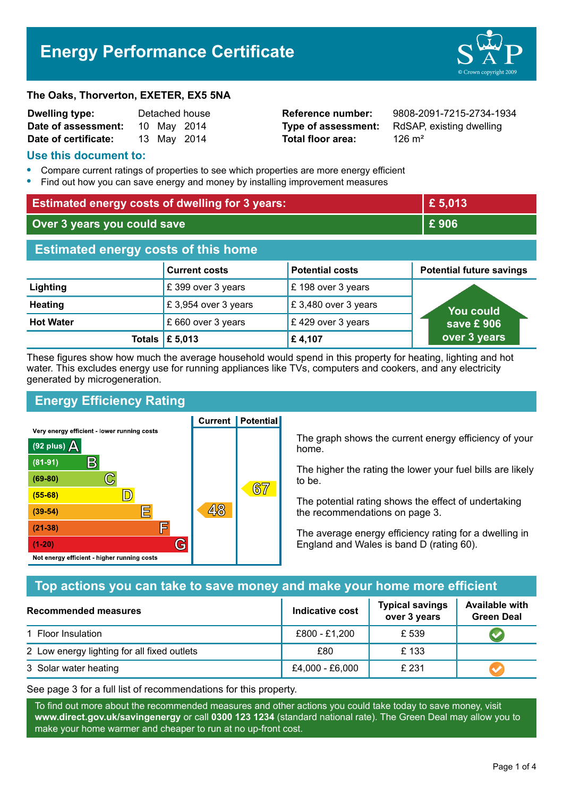# **Energy Performance Certificate**



#### **The Oaks, Thorverton, EXETER, EX5 5NA**

| Dwelling type:       |             | Detached house |
|----------------------|-------------|----------------|
| Date of assessment:  | 10 May 2014 |                |
| Date of certificate: | 13 May 2014 |                |

**Total floor area:** 126 m<sup>2</sup>

**Reference number:** 9808-2091-7215-2734-1934 **Type of assessment:** RdSAP, existing dwelling

#### **Use this document to:**

- **•** Compare current ratings of properties to see which properties are more energy efficient
- **•** Find out how you can save energy and money by installing improvement measures

| <b>Estimated energy costs of dwelling for 3 years:</b> |                      |                        | £5,013                          |  |
|--------------------------------------------------------|----------------------|------------------------|---------------------------------|--|
| Over 3 years you could save                            |                      |                        | £906                            |  |
| <b>Estimated energy costs of this home</b>             |                      |                        |                                 |  |
|                                                        | <b>Current costs</b> | <b>Potential costs</b> | <b>Potential future savings</b> |  |
| Lighting                                               | £399 over 3 years    | £ 198 over 3 years     |                                 |  |
| <b>Heating</b>                                         | £ 3,954 over 3 years | £3,480 over 3 years    | <b>You could</b>                |  |
| <b>Hot Water</b>                                       | save £906            |                        |                                 |  |
| Totals $\mathsf{E}$ 5,013                              | over 3 years         |                        |                                 |  |

These figures show how much the average household would spend in this property for heating, lighting and hot water. This excludes energy use for running appliances like TVs, computers and cookers, and any electricity generated by microgeneration.

**Current | Potential** 

# **Energy Efficiency Rating**

Very energy efficient - lower running costs



The graph shows the current energy efficiency of your home.

The higher the rating the lower your fuel bills are likely to be.

The potential rating shows the effect of undertaking the recommendations on page 3.

The average energy efficiency rating for a dwelling in England and Wales is band D (rating 60).

# **Top actions you can take to save money and make your home more efficient**

| Recommended measures                        | Indicative cost | <b>Typical savings</b><br>over 3 years | <b>Available with</b><br><b>Green Deal</b> |
|---------------------------------------------|-----------------|----------------------------------------|--------------------------------------------|
| 1 Floor Insulation                          | £800 - £1,200   | £ 539                                  |                                            |
| 2 Low energy lighting for all fixed outlets | £80             | £133                                   |                                            |
| 3 Solar water heating                       | £4,000 - £6,000 | £ 231                                  |                                            |

See page 3 for a full list of recommendations for this property.

To find out more about the recommended measures and other actions you could take today to save money, visit **www.direct.gov.uk/savingenergy** or call **0300 123 1234** (standard national rate). The Green Deal may allow you to make your home warmer and cheaper to run at no up-front cost.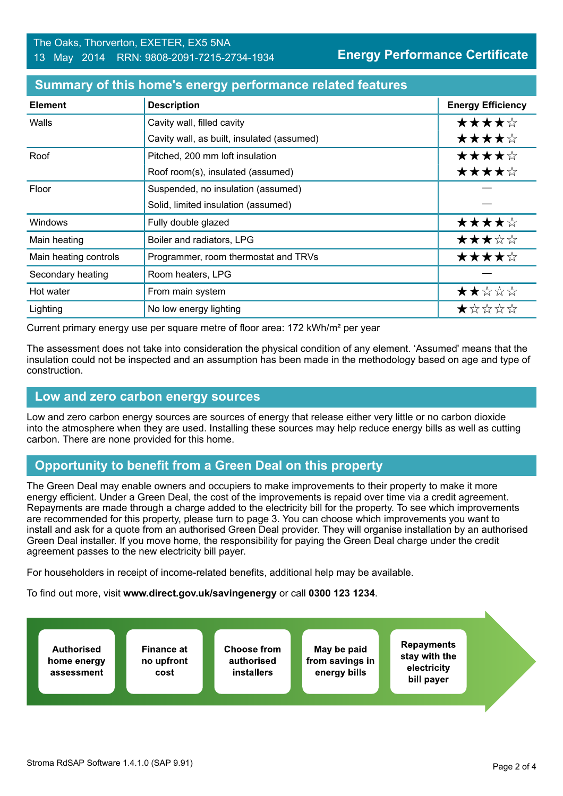| <b>Element</b>        | <b>Description</b>                         | <b>Energy Efficiency</b> |
|-----------------------|--------------------------------------------|--------------------------|
| Walls                 | Cavity wall, filled cavity                 | ★★★★☆                    |
|                       | Cavity wall, as built, insulated (assumed) | ★★★★☆                    |
| Roof                  | Pitched, 200 mm loft insulation            | ★★★★☆                    |
|                       | Roof room(s), insulated (assumed)          | ★★★★☆                    |
| Floor                 | Suspended, no insulation (assumed)         |                          |
|                       | Solid, limited insulation (assumed)        |                          |
| Windows               | Fully double glazed                        | ★★★★☆                    |
| Main heating          | Boiler and radiators, LPG                  | ★★★☆☆                    |
| Main heating controls | Programmer, room thermostat and TRVs       | ★★★★☆                    |
| Secondary heating     | Room heaters, LPG                          |                          |
| Hot water             | From main system                           | ★★☆☆☆                    |
| Lighting              | No low energy lighting                     | ★☆☆☆☆                    |

#### **Summary of this home's energy performance related features**

Current primary energy use per square metre of floor area: 172 kWh/m² per year

The assessment does not take into consideration the physical condition of any element. 'Assumed' means that the insulation could not be inspected and an assumption has been made in the methodology based on age and type of construction.

# **Low and zero carbon energy sources**

Low and zero carbon energy sources are sources of energy that release either very little or no carbon dioxide into the atmosphere when they are used. Installing these sources may help reduce energy bills as well as cutting carbon. There are none provided for this home.

# **Opportunity to benefit from a Green Deal on this property**

The Green Deal may enable owners and occupiers to make improvements to their property to make it more energy efficient. Under a Green Deal, the cost of the improvements is repaid over time via a credit agreement. Repayments are made through a charge added to the electricity bill for the property. To see which improvements are recommended for this property, please turn to page 3. You can choose which improvements you want to install and ask for a quote from an authorised Green Deal provider. They will organise installation by an authorised Green Deal installer. If you move home, the responsibility for paying the Green Deal charge under the credit agreement passes to the new electricity bill payer.

For householders in receipt of income-related benefits, additional help may be available.

To find out more, visit **www.direct.gov.uk/savingenergy** or call **0300 123 1234**.

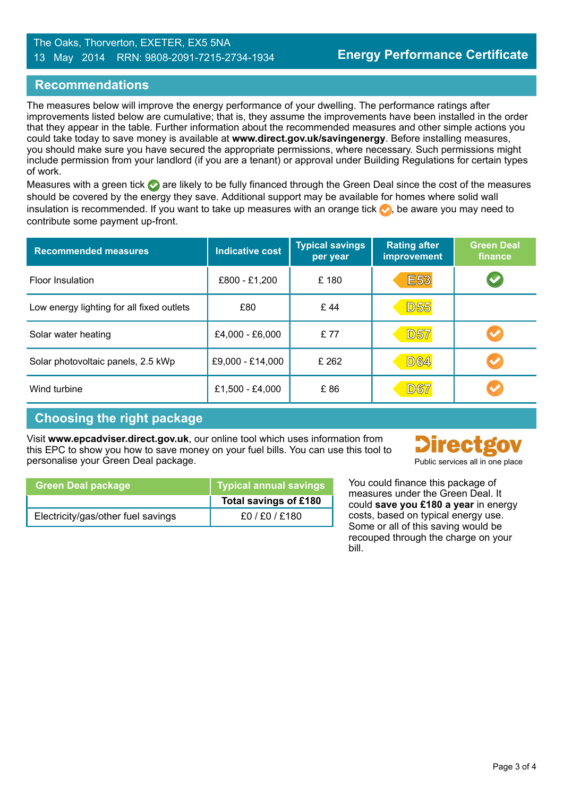#### The Oaks, Thorverton, EXETER, EX5 5NA 13 May 2014 RRN: 9808-2091-7215-2734-1934

## **Recommendations**

The measures below will improve the energy performance of your dwelling. The performance ratings after improvements listed below are cumulative; that is, they assume the improvements have been installed in the order that they appear in the table. Further information about the recommended measures and other simple actions you could take today to save money is available at **www.direct.gov.uk/savingenergy**. Before installing measures, you should make sure you have secured the appropriate permissions, where necessary. Such permissions might include permission from your landlord (if you are a tenant) or approval under Building Regulations for certain types of work.

Measures with a green tick are likely to be fully financed through the Green Deal since the cost of the measures should be covered by the energy they save. Additional support may be available for homes where solid wall insulation is recommended. If you want to take up measures with an orange tick  $\bullet$ , be aware you may need to contribute some payment up-front.

| <b>Recommended measures</b>               | <b>Indicative cost</b> | <b>Typical savings</b><br>per year | <b>Rating after</b><br>improvement | <b>Green Deal</b><br>finance |
|-------------------------------------------|------------------------|------------------------------------|------------------------------------|------------------------------|
| <b>Floor Insulation</b>                   | £800 - £1,200          | £180                               | <b>E53</b>                         |                              |
| Low energy lighting for all fixed outlets | £80                    | £44                                | <b>D55</b>                         |                              |
| Solar water heating                       | £4,000 - £6,000        | £77                                | <b>D57</b>                         |                              |
| Solar photovoltaic panels, 2.5 kWp        | £9,000 - £14,000       | £ 262                              | <b>D64</b>                         |                              |
| Wind turbine                              | £1,500 - £4,000        | £86                                | <b>D67</b>                         |                              |

# **Choosing the right package**

Visit **www.epcadviser.direct.gov.uk**, our online tool which uses information from this EPC to show you how to save money on your fuel bills. You can use this tool to personalise your Green Deal package.



| PUDIIC SEIVICES AII III ONE DIACE |  |  |
|-----------------------------------|--|--|
|                                   |  |  |

| rings | You could finance this package of                                                                                          |
|-------|----------------------------------------------------------------------------------------------------------------------------|
| :180  | measures under the Green Deal. It<br>could save you £180 a year in energy                                                  |
|       | costs, based on typical energy use.<br>Some or all of this saving would be<br>recouped through the charge on your<br>bill. |

| <b>Green Deal package</b>          | <b>Typical annual savings</b> |
|------------------------------------|-------------------------------|
|                                    | Total savings of £180         |
| Electricity/gas/other fuel savings | £0/£0/£180                    |